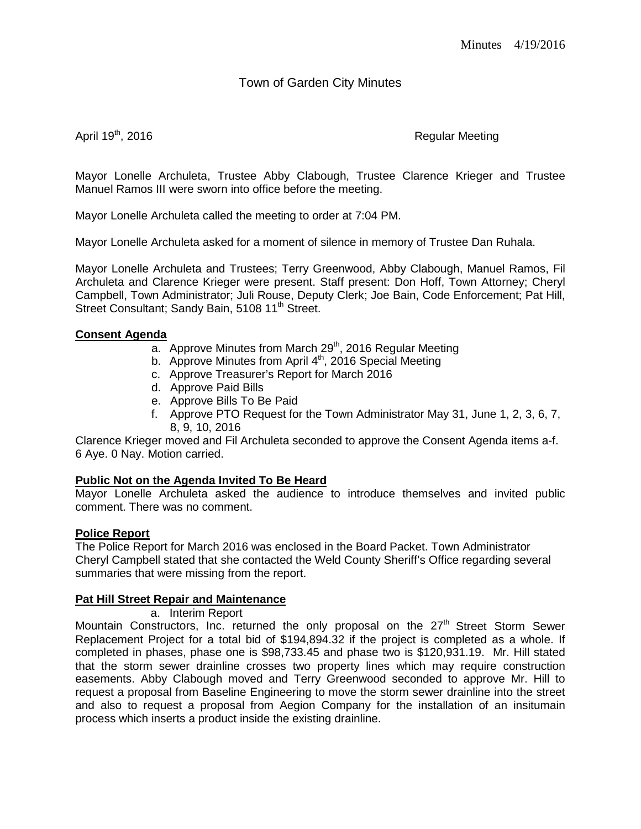# Town of Garden City Minutes

April 19<sup>th</sup>, 2016 **Regular Meeting** 

Mayor Lonelle Archuleta, Trustee Abby Clabough, Trustee Clarence Krieger and Trustee Manuel Ramos III were sworn into office before the meeting.

Mayor Lonelle Archuleta called the meeting to order at 7:04 PM.

Mayor Lonelle Archuleta asked for a moment of silence in memory of Trustee Dan Ruhala.

Mayor Lonelle Archuleta and Trustees; Terry Greenwood, Abby Clabough, Manuel Ramos, Fil Archuleta and Clarence Krieger were present. Staff present: Don Hoff, Town Attorney; Cheryl Campbell, Town Administrator; Juli Rouse, Deputy Clerk; Joe Bain, Code Enforcement; Pat Hill, Street Consultant; Sandy Bain, 5108 11<sup>th</sup> Street.

### **Consent Agenda**

- $\overline{a}$ . Approve Minutes from March 29<sup>th</sup>, 2016 Regular Meeting
- b. Approve Minutes from April 4<sup>th</sup>, 2016 Special Meeting
- c. Approve Treasurer's Report for March 2016
- d. Approve Paid Bills
- e. Approve Bills To Be Paid
- f. Approve PTO Request for the Town Administrator May 31, June 1, 2, 3, 6, 7, 8, 9, 10, 2016

Clarence Krieger moved and Fil Archuleta seconded to approve the Consent Agenda items a-f. 6 Aye. 0 Nay. Motion carried.

## **Public Not on the Agenda Invited To Be Heard**

Mayor Lonelle Archuleta asked the audience to introduce themselves and invited public comment. There was no comment.

## **Police Report**

The Police Report for March 2016 was enclosed in the Board Packet. Town Administrator Cheryl Campbell stated that she contacted the Weld County Sheriff's Office regarding several summaries that were missing from the report.

## **Pat Hill Street Repair and Maintenance**

a. Interim Report

Mountain Constructors, Inc. returned the only proposal on the  $27<sup>th</sup>$  Street Storm Sewer Replacement Project for a total bid of \$194,894.32 if the project is completed as a whole. If completed in phases, phase one is \$98,733.45 and phase two is \$120,931.19. Mr. Hill stated that the storm sewer drainline crosses two property lines which may require construction easements. Abby Clabough moved and Terry Greenwood seconded to approve Mr. Hill to request a proposal from Baseline Engineering to move the storm sewer drainline into the street and also to request a proposal from Aegion Company for the installation of an insitumain process which inserts a product inside the existing drainline.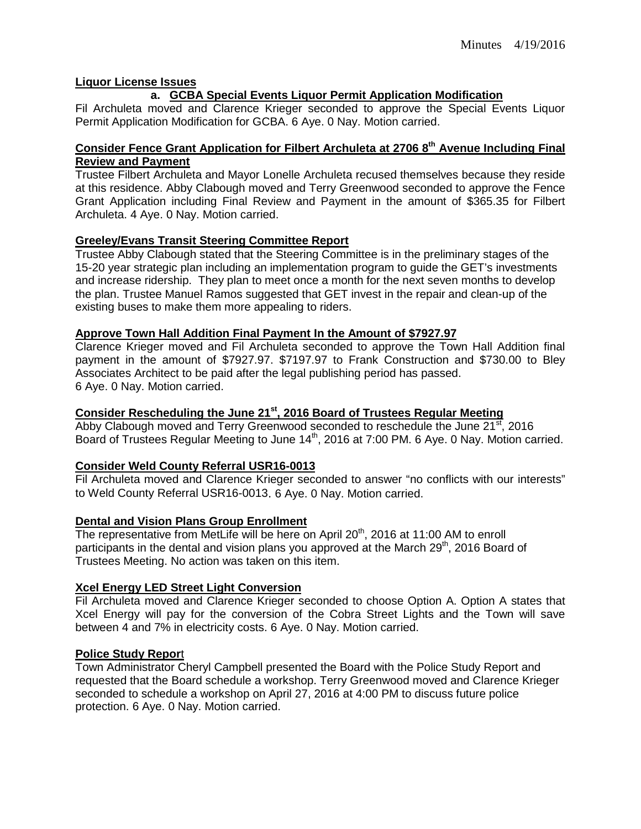## **Liquor License Issues**

## **a. GCBA Special Events Liquor Permit Application Modification**

Fil Archuleta moved and Clarence Krieger seconded to approve the Special Events Liquor Permit Application Modification for GCBA. 6 Aye. 0 Nay. Motion carried.

## **Consider Fence Grant Application for Filbert Archuleta at 2706 8th Avenue Including Final Review and Payment**

Trustee Filbert Archuleta and Mayor Lonelle Archuleta recused themselves because they reside at this residence. Abby Clabough moved and Terry Greenwood seconded to approve the Fence Grant Application including Final Review and Payment in the amount of \$365.35 for Filbert Archuleta. 4 Aye. 0 Nay. Motion carried.

### **Greeley/Evans Transit Steering Committee Report**

Trustee Abby Clabough stated that the Steering Committee is in the preliminary stages of the 15-20 year strategic plan including an implementation program to guide the GET's investments and increase ridership. They plan to meet once a month for the next seven months to develop the plan. Trustee Manuel Ramos suggested that GET invest in the repair and clean-up of the existing buses to make them more appealing to riders.

### **Approve Town Hall Addition Final Payment In the Amount of \$7927.97**

Clarence Krieger moved and Fil Archuleta seconded to approve the Town Hall Addition final payment in the amount of \$7927.97. \$7197.97 to Frank Construction and \$730.00 to Bley Associates Architect to be paid after the legal publishing period has passed. 6 Aye. 0 Nay. Motion carried.

### **Consider Rescheduling the June 21st, 2016 Board of Trustees Regular Meeting**

Abby Clabough moved and Terry Greenwood seconded to reschedule the June 21<sup>st</sup>, 2016 Board of Trustees Regular Meeting to June 14<sup>th</sup>, 2016 at 7:00 PM. 6 Aye. 0 Nay. Motion carried.

#### **Consider Weld County Referral USR16-0013**

Fil Archuleta moved and Clarence Krieger seconded to answer "no conflicts with our interests" to Weld County Referral USR16-0013. 6 Aye. 0 Nay. Motion carried.

#### **Dental and Vision Plans Group Enrollment**

The representative from MetLife will be here on April 20<sup>th</sup>, 2016 at 11:00 AM to enroll participants in the dental and vision plans you approved at the March 29<sup>th</sup>, 2016 Board of Trustees Meeting. No action was taken on this item.

#### **Xcel Energy LED Street Light Conversion**

Fil Archuleta moved and Clarence Krieger seconded to choose Option A. Option A states that Xcel Energy will pay for the conversion of the Cobra Street Lights and the Town will save between 4 and 7% in electricity costs. 6 Aye. 0 Nay. Motion carried.

### **Police Study Repor**t

Town Administrator Cheryl Campbell presented the Board with the Police Study Report and requested that the Board schedule a workshop. Terry Greenwood moved and Clarence Krieger seconded to schedule a workshop on April 27, 2016 at 4:00 PM to discuss future police protection. 6 Aye. 0 Nay. Motion carried.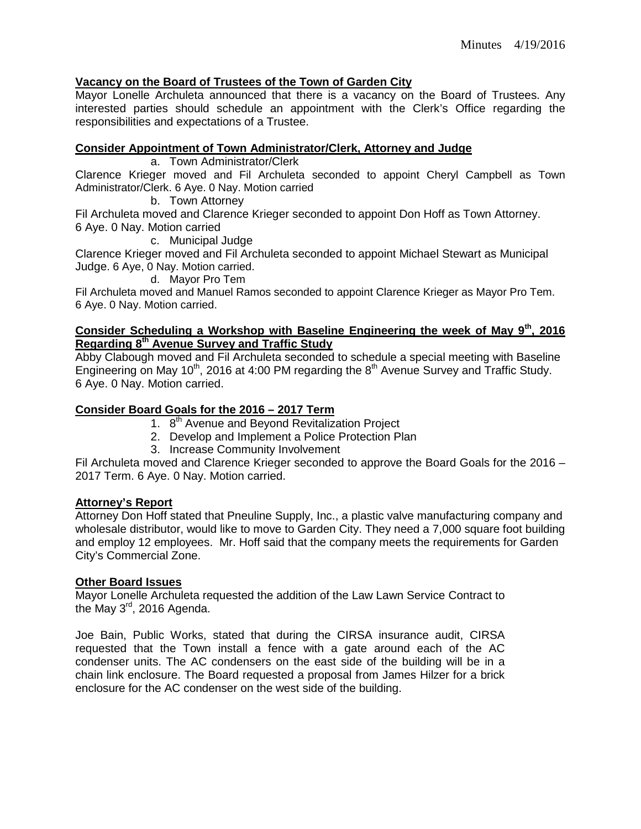## **Vacancy on the Board of Trustees of the Town of Garden City**

Mayor Lonelle Archuleta announced that there is a vacancy on the Board of Trustees. Any interested parties should schedule an appointment with the Clerk's Office regarding the responsibilities and expectations of a Trustee.

### **Consider Appointment of Town Administrator/Clerk, Attorney and Judge**

a. Town Administrator/Clerk

Clarence Krieger moved and Fil Archuleta seconded to appoint Cheryl Campbell as Town Administrator/Clerk. 6 Aye. 0 Nay. Motion carried

b. Town Attorney

Fil Archuleta moved and Clarence Krieger seconded to appoint Don Hoff as Town Attorney. 6 Aye. 0 Nay. Motion carried

c. Municipal Judge

Clarence Krieger moved and Fil Archuleta seconded to appoint Michael Stewart as Municipal Judge. 6 Aye, 0 Nay. Motion carried.

d. Mayor Pro Tem

Fil Archuleta moved and Manuel Ramos seconded to appoint Clarence Krieger as Mayor Pro Tem. 6 Aye. 0 Nay. Motion carried.

## **Consider Scheduling a Workshop with Baseline Engineering the week of May 9th, 2016 Regarding 8th Avenue Survey and Traffic Study**

Abby Clabough moved and Fil Archuleta seconded to schedule a special meeting with Baseline Engineering on May 10<sup>th</sup>, 2016 at 4:00 PM regarding the 8<sup>th</sup> Avenue Survey and Traffic Study. 6 Aye. 0 Nay. Motion carried.

## **Consider Board Goals for the 2016 – 2017 Term**

- 1. 8<sup>th</sup> Avenue and Beyond Revitalization Project
- 2. Develop and Implement a Police Protection Plan
- 3. Increase Community Involvement

Fil Archuleta moved and Clarence Krieger seconded to approve the Board Goals for the 2016 – 2017 Term. 6 Aye. 0 Nay. Motion carried.

#### **Attorney's Report**

Attorney Don Hoff stated that Pneuline Supply, Inc., a plastic valve manufacturing company and wholesale distributor, would like to move to Garden City. They need a 7,000 square foot building and employ 12 employees. Mr. Hoff said that the company meets the requirements for Garden City's Commercial Zone.

#### **Other Board Issues**

Mayor Lonelle Archuleta requested the addition of the Law Lawn Service Contract to the May  $3^{\text{rd}}$ , 2016 Agenda.

Joe Bain, Public Works, stated that during the CIRSA insurance audit, CIRSA requested that the Town install a fence with a gate around each of the AC condenser units. The AC condensers on the east side of the building will be in a chain link enclosure. The Board requested a proposal from James Hilzer for a brick enclosure for the AC condenser on the west side of the building.